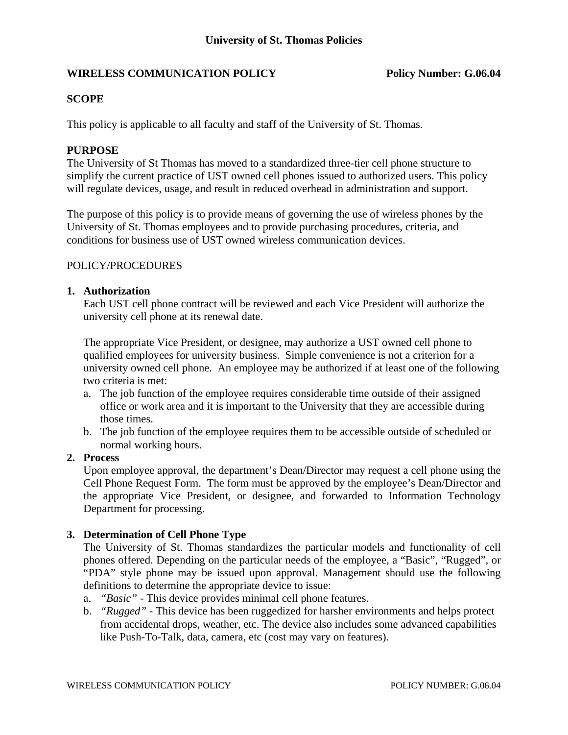# **WIRELESS COMMUNICATION POLICY Policy Number: G.06.04**

# **SCOPE**

This policy is applicable to all faculty and staff of the University of St. Thomas.

# **PURPOSE**

The University of St Thomas has moved to a standardized three-tier cell phone structure to simplify the current practice of UST owned cell phones issued to authorized users. This policy will regulate devices, usage, and result in reduced overhead in administration and support.

The purpose of this policy is to provide means of governing the use of wireless phones by the University of St. Thomas employees and to provide purchasing procedures, criteria, and conditions for business use of UST owned wireless communication devices.

# POLICY/PROCEDURES

# **1. Authorization**

Each UST cell phone contract will be reviewed and each Vice President will authorize the university cell phone at its renewal date.

The appropriate Vice President, or designee, may authorize a UST owned cell phone to qualified employees for university business. Simple convenience is not a criterion for a university owned cell phone. An employee may be authorized if at least one of the following two criteria is met:

- a. The job function of the employee requires considerable time outside of their assigned office or work area and it is important to the University that they are accessible during those times.
- b. The job function of the employee requires them to be accessible outside of scheduled or normal working hours.

# **2. Process**

Upon employee approval, the department's Dean/Director may request a cell phone using the Cell Phone Request Form. The form must be approved by the employee's Dean/Director and the appropriate Vice President, or designee, and forwarded to Information Technology Department for processing.

# **3. Determination of Cell Phone Type**

The University of St. Thomas standardizes the particular models and functionality of cell phones offered. Depending on the particular needs of the employee, a "Basic", "Rugged", or "PDA" style phone may be issued upon approval. Management should use the following definitions to determine the appropriate device to issue:

- a. *"Basic"* This device provides minimal cell phone features.
- b. *"Rugged"* This device has been ruggedized for harsher environments and helps protect from accidental drops, weather, etc. The device also includes some advanced capabilities like Push-To-Talk, data, camera, etc (cost may vary on features).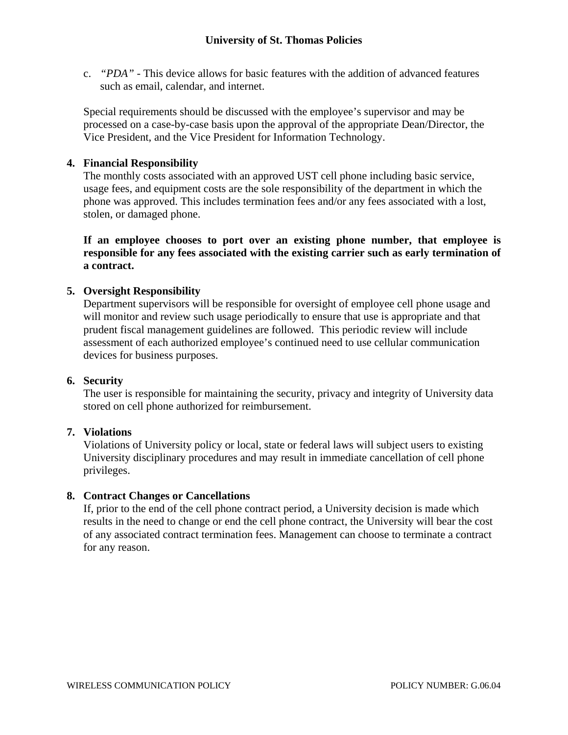c. *"PDA"* - This device allows for basic features with the addition of advanced features such as email, calendar, and internet.

Special requirements should be discussed with the employee's supervisor and may be processed on a case-by-case basis upon the approval of the appropriate Dean/Director, the Vice President, and the Vice President for Information Technology.

# **4. Financial Responsibility**

The monthly costs associated with an approved UST cell phone including basic service, usage fees, and equipment costs are the sole responsibility of the department in which the phone was approved. This includes termination fees and/or any fees associated with a lost, stolen, or damaged phone.

 **If an employee chooses to port over an existing phone number, that employee is responsible for any fees associated with the existing carrier such as early termination of a contract.** 

# **5. Oversight Responsibility**

Department supervisors will be responsible for oversight of employee cell phone usage and will monitor and review such usage periodically to ensure that use is appropriate and that prudent fiscal management guidelines are followed. This periodic review will include assessment of each authorized employee's continued need to use cellular communication devices for business purposes.

# **6. Security**

The user is responsible for maintaining the security, privacy and integrity of University data stored on cell phone authorized for reimbursement.

# **7. Violations**

Violations of University policy or local, state or federal laws will subject users to existing University disciplinary procedures and may result in immediate cancellation of cell phone privileges.

# **8. Contract Changes or Cancellations**

If, prior to the end of the cell phone contract period, a University decision is made which results in the need to change or end the cell phone contract, the University will bear the cost of any associated contract termination fees. Management can choose to terminate a contract for any reason.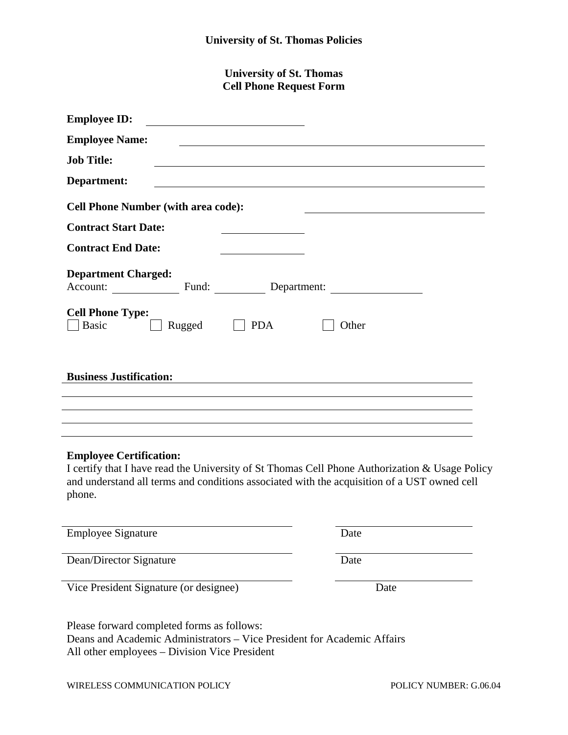**University of St. Thomas Cell Phone Request Form** 

| <b>Employee ID:</b>                                                      |
|--------------------------------------------------------------------------|
| <b>Employee Name:</b>                                                    |
| <b>Job Title:</b>                                                        |
| Department:                                                              |
| <b>Cell Phone Number (with area code):</b>                               |
| <b>Contract Start Date:</b>                                              |
| <b>Contract End Date:</b>                                                |
| <b>Department Charged:</b><br>Account: Fund: Department:                 |
| <b>Cell Phone Type:</b><br><b>Basic</b><br><b>PDA</b><br>Rugged<br>Other |
| <b>Business Justification:</b>                                           |
|                                                                          |
|                                                                          |

# **Employee Certification:**

I certify that I have read the University of St Thomas Cell Phone Authorization & Usage Policy and understand all terms and conditions associated with the acquisition of a UST owned cell phone.

Employee Signature Date

Dean/Director Signature Date

Vice President Signature (or designee) Date

Please forward completed forms as follows: Deans and Academic Administrators – Vice President for Academic Affairs All other employees – Division Vice President